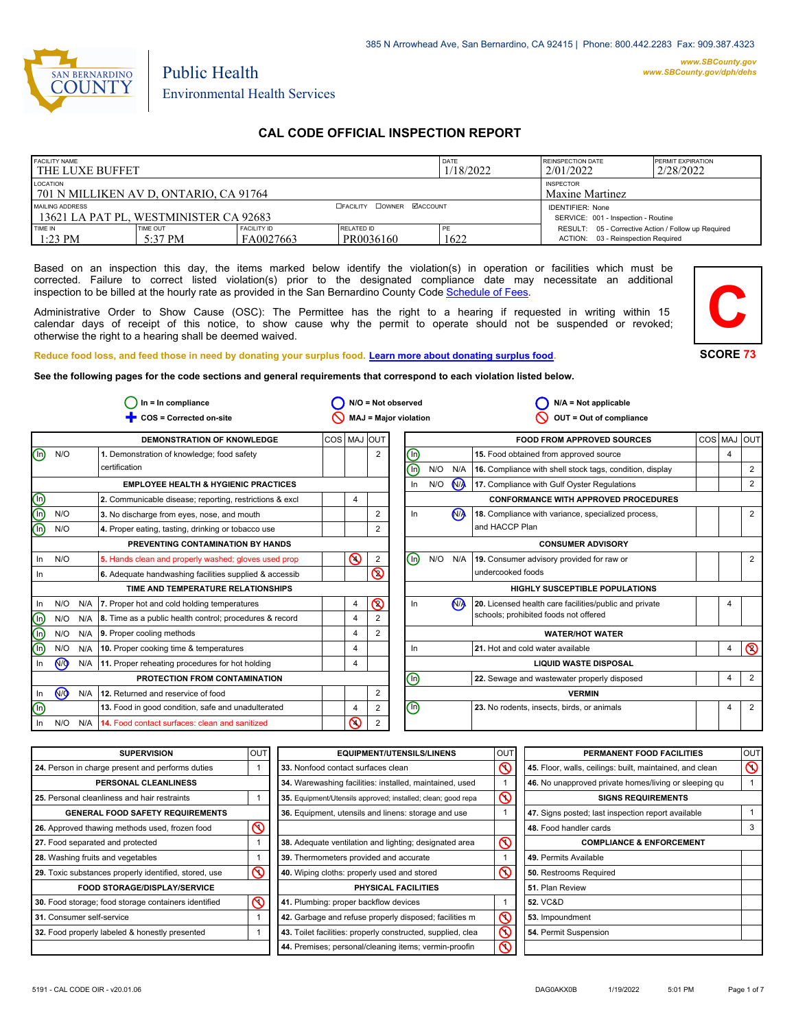

# Public Health Environmental Health Services

## **CAL CODE OFFICIAL INSPECTION REPORT**

| <b>FACILITY NAME</b><br><b>THE LUXE BUFFET</b>                                                |                       |                                     | DATE<br>1/18/2022       | <b>REINSPECTION DATE</b><br>2/01/2022 | <b>PERMIT EXPIRATION</b><br>2/28/2022                                                     |  |
|-----------------------------------------------------------------------------------------------|-----------------------|-------------------------------------|-------------------------|---------------------------------------|-------------------------------------------------------------------------------------------|--|
| LOCATION<br>701 N MILLIKEN AV D. ONTARIO. CA 91764                                            |                       | <b>INSPECTOR</b><br>Maxine Martinez |                         |                                       |                                                                                           |  |
| <b>OFACILITY COWNER MACCOUNT</b><br>MAILING ADDRESS<br>13621 LA PAT PL, WESTMINISTER CA 92683 |                       |                                     |                         |                                       | <b>IDENTIFIER: None</b><br>SERVICE: 001 - Inspection - Routine                            |  |
| <b>TIME IN</b><br>$1:23$ PM                                                                   | TIME OUT<br>$5:37$ PM | <b>FACILITY ID</b><br>FA0027663     | RELATED ID<br>PR0036160 | PF<br>1622                            | RESULT: 05 - Corrective Action / Follow up Required<br>ACTION: 03 - Reinspection Required |  |

Based on an inspection this day, the items marked below identify the violation(s) in operation or facilities which must be corrected. Failure to correct listed violation(s) prior to the designated compliance date may necessitate an additional inspection to be billed at the hourly rate as provided in the San Bernardino County Co[de Schedule of Fees.](https://codelibrary.amlegal.com/codes/sanbernardino/latest/sanberncty_ca/0-0-0-122474#JD_16.0213B)

Administrative Order to Show Cause (OSC): The Permittee has the right to a hearing if requested in writing within 15 calendar days of receipt of this notice, to show cause why the permit to operate should not be suspended or revoked; otherwise the right to a hearing shall be deemed waived.



#### **Reduce food loss, and feed those in need by donating your surplus f[ood. Learn more about donating surplus food.](https://wp.sbcounty.gov/dph/programs/ehs/charitable-food-service/)**

**See the following pages for the code sections and general requirements that correspond to each violation listed below.**

|                                | $ln = ln$ compliance |     | $N/O = Not observed$                                          |             | $N/A = Not applicable$ |                         |                                                  |     |                |                                                          |  |   |                |
|--------------------------------|----------------------|-----|---------------------------------------------------------------|-------------|------------------------|-------------------------|--------------------------------------------------|-----|----------------|----------------------------------------------------------|--|---|----------------|
|                                |                      |     | COS = Corrected on-site                                       |             |                        |                         | MAJ = Major violation                            |     |                | OUT = Out of compliance                                  |  |   |                |
|                                |                      |     | DEMONSTRATION OF KNOWLEDGE                                    | COS MAJ OUT |                        |                         |                                                  |     |                | <b>FOOD FROM APPROVED SOURCES</b>                        |  |   | COS MAJ OUT    |
| $\textcircled{\scriptsize{1}}$ | N/O                  |     | 1. Demonstration of knowledge; food safety                    |             |                        | $\overline{2}$          | ⓪                                                |     |                | 15. Food obtained from approved source                   |  | 4 |                |
|                                |                      |     | certification                                                 |             |                        |                         | ൹                                                | N/O | N/A            | 16. Compliance with shell stock tags, condition, display |  |   | 2              |
|                                |                      |     | <b>EMPLOYEE HEALTH &amp; HYGIENIC PRACTICES</b>               |             |                        |                         | In                                               | N/O | <b>NA</b>      | 17. Compliance with Gulf Oyster Regulations              |  |   | 2              |
| $\textcircled{\scriptsize{1}}$ |                      |     | 2. Communicable disease; reporting, restrictions & excl       |             | 4                      |                         |                                                  |     |                | <b>CONFORMANCE WITH APPROVED PROCEDURES</b>              |  |   |                |
| ©                              | N/O                  |     | 3. No discharge from eyes, nose, and mouth                    |             |                        | 2                       | In                                               |     | N <sub>A</sub> | 18. Compliance with variance, specialized process,       |  |   | 2              |
| ⋒                              | N/O                  |     | 4. Proper eating, tasting, drinking or tobacco use            |             |                        | 2                       |                                                  |     |                | and HACCP Plan                                           |  |   |                |
|                                |                      |     | PREVENTING CONTAMINATION BY HANDS                             |             |                        |                         |                                                  |     |                | <b>CONSUMER ADVISORY</b>                                 |  |   |                |
| In                             | N/O                  |     | 5. Hands clean and properly washed; gloves used prop          |             | $\mathbf{\Omega}$      | 2                       | ⓪                                                | N/O | N/A            | 19. Consumer advisory provided for raw or                |  |   | 2              |
| In                             |                      |     | 6. Adequate handwashing facilities supplied & accessib        |             |                        | $\overline{\mathbb{C}}$ |                                                  |     |                | undercooked foods                                        |  |   |                |
|                                |                      |     | TIME AND TEMPERATURE RELATIONSHIPS                            |             |                        |                         |                                                  |     |                | <b>HIGHLY SUSCEPTIBLE POPULATIONS</b>                    |  |   |                |
| In                             | N/O                  | N/A | 7. Proper hot and cold holding temperatures                   |             | 4                      | $\circledcirc$          | In                                               |     | N <sub>A</sub> | 20. Licensed health care facilities/public and private   |  | 4 |                |
| $(\mathsf{I}\mathsf{n})$       | N/O                  |     | $N/A$ 8. Time as a public health control; procedures & record |             | $\overline{4}$         | 2                       |                                                  |     |                | schools; prohibited foods not offered                    |  |   |                |
| $\bigcirc$                     | N/O                  | N/A | 9. Proper cooling methods                                     |             | $\overline{4}$         | 2                       |                                                  |     |                | <b>WATER/HOT WATER</b>                                   |  |   |                |
| ⋒                              | N/O                  | N/A | 10. Proper cooking time & temperatures                        |             | $\overline{4}$         |                         | In                                               |     |                | 21. Hot and cold water available                         |  | 4 | $\circledcirc$ |
| In                             | N <sub>O</sub>       |     | N/A 11. Proper reheating procedures for hot holding           |             | 4                      |                         |                                                  |     |                | <b>LIQUID WASTE DISPOSAL</b>                             |  |   |                |
|                                |                      |     | PROTECTION FROM CONTAMINATION                                 |             |                        |                         | ⋒<br>22. Sewage and wastewater properly disposed |     | 4              | $\overline{2}$                                           |  |   |                |
| In                             | $\sqrt{9}$           | N/A | 12. Returned and reservice of food                            |             |                        | 2                       | <b>VERMIN</b>                                    |     |                |                                                          |  |   |                |
| ⋒                              |                      |     | 13. Food in good condition, safe and unadulterated            |             | $\overline{4}$         | 2                       | 哂                                                |     |                | 23. No rodents, insects, birds, or animals               |  | 4 | 2              |
| In.                            | N/O                  | N/A | 14. Food contact surfaces: clean and sanitized                |             | ⋒                      | 2                       |                                                  |     |                |                                                          |  |   |                |

| <b>SUPERVISION</b>                                    | <b>OUT</b> | <b>EQUIPMENT/UTENSILS/LINENS</b>                             | OU <sub>1</sub> | PERMANENT FOOD FACILITIES                                | <b>OUT</b>     |
|-------------------------------------------------------|------------|--------------------------------------------------------------|-----------------|----------------------------------------------------------|----------------|
| 24. Person in charge present and performs duties      |            | $\infty$<br>33. Nonfood contact surfaces clean               |                 | 45. Floor, walls, ceilings: built, maintained, and clean | $\circledcirc$ |
| <b>PERSONAL CLEANLINESS</b>                           |            | 34. Warewashing facilities: installed, maintained, used      |                 | 46. No unapproved private homes/living or sleeping qu    |                |
| 25. Personal cleanliness and hair restraints          |            | 35. Equipment/Utensils approved; installed; clean; good repa | $\mathcal{O}$   | <b>SIGNS REQUIREMENTS</b>                                |                |
| <b>GENERAL FOOD SAFETY REQUIREMENTS</b>               |            | 36. Equipment, utensils and linens: storage and use          |                 | 47. Signs posted; last inspection report available       |                |
| 26. Approved thawing methods used, frozen food        | $\infty$   |                                                              |                 | 48. Food handler cards                                   |                |
| 27. Food separated and protected                      |            | 38. Adequate ventilation and lighting; designated area       | $\infty$        | <b>COMPLIANCE &amp; ENFORCEMENT</b>                      |                |
| 28. Washing fruits and vegetables                     |            | 39. Thermometers provided and accurate                       |                 | 49. Permits Available                                    |                |
| 29. Toxic substances properly identified, stored, use | $\infty$   | $\infty$<br>40. Wiping cloths: properly used and stored      |                 | 50. Restrooms Required                                   |                |
| <b>FOOD STORAGE/DISPLAY/SERVICE</b>                   |            | <b>PHYSICAL FACILITIES</b>                                   |                 | 51. Plan Review                                          |                |
| 30. Food storage; food storage containers identified  | $\infty$   | 41. Plumbing: proper backflow devices                        |                 | <b>52. VC&amp;D</b>                                      |                |
| 31. Consumer self-service                             |            | 42. Garbage and refuse properly disposed; facilities m       | $\mathcal{Q}$   | 53. Impoundment                                          |                |
| 32. Food properly labeled & honestly presented        |            | 43. Toilet facilities: properly constructed, supplied, clea  |                 | 54. Permit Suspension                                    |                |
|                                                       |            | 44. Premises; personal/cleaning items; vermin-proofin        | ⌒               |                                                          |                |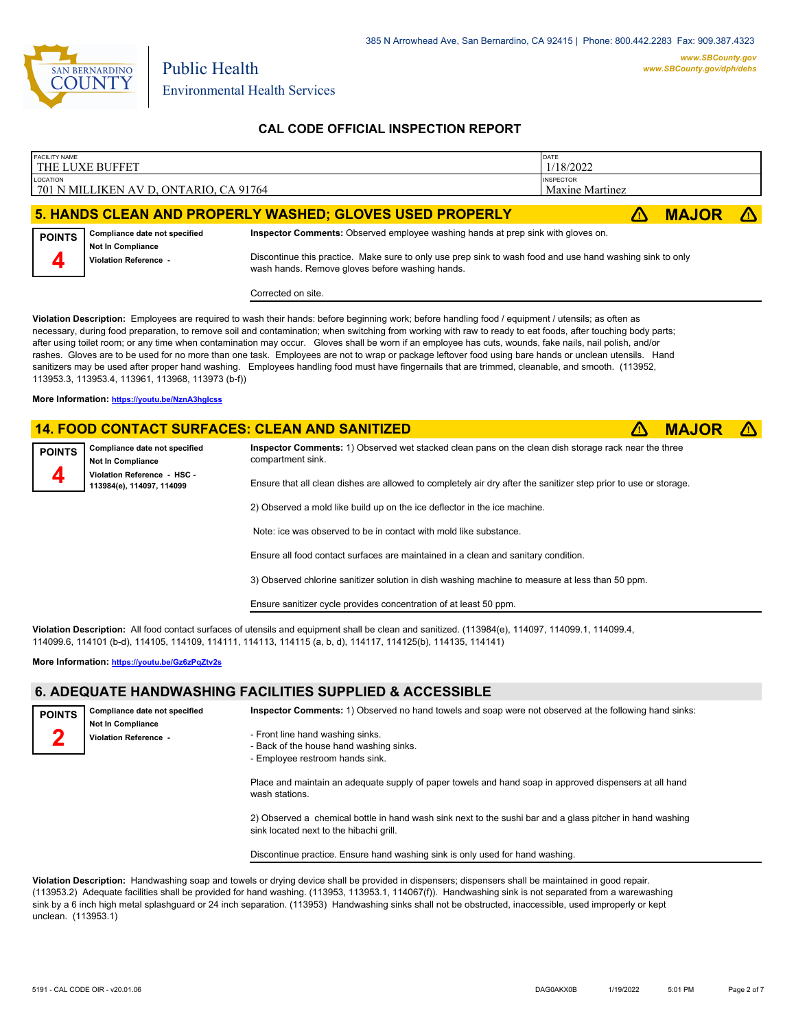

### **CAL CODE OFFICIAL INSPECTION REPORT**

| <b>FACILITY NAME</b> |                                                   |                                                                                                                                                              | DATE                                |              |  |
|----------------------|---------------------------------------------------|--------------------------------------------------------------------------------------------------------------------------------------------------------------|-------------------------------------|--------------|--|
|                      | THE LUXE BUFFET                                   |                                                                                                                                                              | 1/18/2022                           |              |  |
| LOCATION             | 701 N MILLIKEN AV D, ONTARIO, CA 91764            |                                                                                                                                                              | <b>INSPECTOR</b><br>Maxine Martinez |              |  |
|                      |                                                   | 5. HANDS CLEAN AND PROPERLY WASHED; GLOVES USED PROPERLY                                                                                                     |                                     | <b>MAJOR</b> |  |
|                      |                                                   |                                                                                                                                                              |                                     |              |  |
| <b>POINTS</b>        | Compliance date not specified                     | Inspector Comments: Observed employee washing hands at prep sink with gloves on.                                                                             |                                     |              |  |
|                      | <b>Not In Compliance</b><br>Violation Reference - | Discontinue this practice. Make sure to only use prep sink to wash food and use hand washing sink to only<br>wash hands. Remove gloves before washing hands. |                                     |              |  |
|                      |                                                   | Corrected on site.                                                                                                                                           |                                     |              |  |

**Violation Description:** Employees are required to wash their hands: before beginning work; before handling food / equipment / utensils; as often as necessary, during food preparation, to remove soil and contamination; when switching from working with raw to ready to eat foods, after touching body parts; after using toilet room; or any time when contamination may occur. Gloves shall be worn if an employee has cuts, wounds, fake nails, nail polish, and/or rashes. Gloves are to be used for no more than one task. Employees are not to wrap or package leftover food using bare hands or unclean utensils. Hand sanitizers may be used after proper hand washing. Employees handling food must have fingernails that are trimmed, cleanable, and smooth. (113952, 113953.3, 113953.4, 113961, 113968, 113973 (b-f))

**More Information: <https://youtu.be/NznA3hgIcss>**

#### **14. FOOD CONTACT SURFACES: CLEAN AND SANITIZED** ê**! MAJOR** ê**!**

Public Health

**Compliance date not specified Not In Compliance Violation Reference - HSC - 113984(e), 114097, 114099 POINTS 4**

**Inspector Comments:** 1) Observed wet stacked clean pans on the clean dish storage rack near the three compartment sink.

Ensure that all clean dishes are allowed to completely air dry after the sanitizer step prior to use or storage.

2) Observed a mold like build up on the ice deflector in the ice machine.

Note: ice was observed to be in contact with mold like substance.

Ensure all food contact surfaces are maintained in a clean and sanitary condition.

3) Observed chlorine sanitizer solution in dish washing machine to measure at less than 50 ppm.

Ensure sanitizer cycle provides concentration of at least 50 ppm.

**Violation Description:** All food contact surfaces of utensils and equipment shall be clean and sanitized. (113984(e), 114097, 114099.1, 114099.4, 114099.6, 114101 (b-d), 114105, 114109, 114111, 114113, 114115 (a, b, d), 114117, 114125(b), 114135, 114141)

**More Information: <https://youtu.be/Gz6zPqZtv2s>**

### **6. ADEQUATE HANDWASHING FACILITIES SUPPLIED & ACCESSIBLE**

**Compliance date not specified Not In Compliance Violation Reference - POINTS 2 Inspector Comments:** 1) Observed no hand towels and soap were not observed at the following hand sinks: - Front line hand washing sinks. - Back of the house hand washing sinks. - Employee restroom hands sink.

> Place and maintain an adequate supply of paper towels and hand soap in approved dispensers at all hand wash stations.

> 2) Observed a chemical bottle in hand wash sink next to the sushi bar and a glass pitcher in hand washing sink located next to the hibachi grill.

Discontinue practice. Ensure hand washing sink is only used for hand washing.

**Violation Description:** Handwashing soap and towels or drying device shall be provided in dispensers; dispensers shall be maintained in good repair. (113953.2) Adequate facilities shall be provided for hand washing. (113953, 113953.1, 114067(f)). Handwashing sink is not separated from a warewashing sink by a 6 inch high metal splashguard or 24 inch separation. (113953) Handwashing sinks shall not be obstructed, inaccessible, used improperly or kept unclean. (113953.1)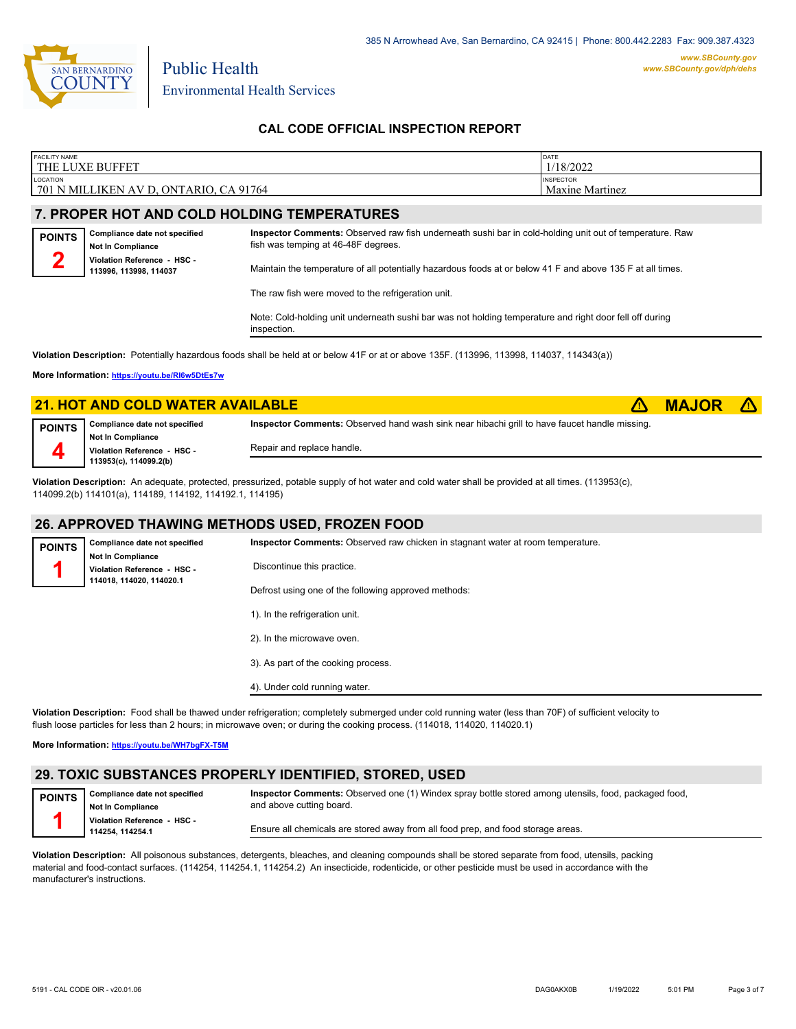

### **CAL CODE OFFICIAL INSPECTION REPORT**

| <b>FACILITY NAME</b><br><b>THE</b><br><b>BUFFET</b><br>LUXE                            | <b>DATE</b><br>1/18/2022            |
|----------------------------------------------------------------------------------------|-------------------------------------|
| LOCATION<br>  701<br><b>ONTARIO</b><br>CA 91764<br><b>MILI</b><br>LIKEN AV "<br>N<br>┚ | <b>INSPECTOR</b><br>Maxine Martinez |

## **7. PROPER HOT AND COLD HOLDING TEMPERATURES**

Public Health

| <b>POINTS</b> | Compliance date not specified<br><b>Not In Compliance</b> | Inspector Comments: Observed raw fish underneath sushi bar in cold-holding unit out of temperature. Raw<br>fish was temping at 46-48F degrees. |  |  |  |
|---------------|-----------------------------------------------------------|------------------------------------------------------------------------------------------------------------------------------------------------|--|--|--|
|               | Violation Reference - HSC -<br>113996, 113998, 114037     | Maintain the temperature of all potentially hazardous foods at or below 41 F and above 135 F at all times.                                     |  |  |  |

The raw fish were moved to the refrigeration unit.

Note: Cold-holding unit underneath sushi bar was not holding temperature and right door fell off during inspection.

**Violation Description:** Potentially hazardous foods shall be held at or below 41F or at or above 135F. (113996, 113998, 114037, 114343(a))

**More Information: <https://youtu.be/RI6w5DtEs7w>**

|               | <b>21. HOT AND COLD WATER AVAILABLE</b>                 |                                                                                                      | <b>MAJOR</b> |  |
|---------------|---------------------------------------------------------|------------------------------------------------------------------------------------------------------|--------------|--|
| <b>POINTS</b> | Compliance date not specified                           | <b>Inspector Comments:</b> Observed hand wash sink near hibachi grill to have faucet handle missing. |              |  |
|               | <b>Not In Compliance</b><br>Violation Reference - HSC - | Repair and replace handle.                                                                           |              |  |
|               | 113953(c), 114099.2(b)                                  |                                                                                                      |              |  |

**Violation Description:** An adequate, protected, pressurized, potable supply of hot water and cold water shall be provided at all times. (113953(c), 114099.2(b) 114101(a), 114189, 114192, 114192.1, 114195)

#### **26. APPROVED THAWING METHODS USED, FROZEN FOOD**

| <b>POINTS</b> | Compliance date not specified                                                       | Inspector Comments: Observed raw chicken in stagnant water at room temperature. |  |  |
|---------------|-------------------------------------------------------------------------------------|---------------------------------------------------------------------------------|--|--|
|               | <b>Not In Compliance</b><br>Violation Reference - HSC -<br>114018, 114020, 114020.1 | Discontinue this practice.                                                      |  |  |
|               |                                                                                     | Defrost using one of the following approved methods:                            |  |  |
|               |                                                                                     | 1). In the refrigeration unit.                                                  |  |  |
|               |                                                                                     | 2). In the microwave oven.                                                      |  |  |
|               |                                                                                     | 3). As part of the cooking process.                                             |  |  |
|               |                                                                                     | 4). Under cold running water.                                                   |  |  |

**Violation Description:** Food shall be thawed under refrigeration; completely submerged under cold running water (less than 70F) of sufficient velocity to flush loose particles for less than 2 hours; in microwave oven; or during the cooking process. (114018, 114020, 114020.1)

**More Information: <https://youtu.be/WH7bgFX-T5M>**

# **29. TOXIC SUBSTANCES PROPERLY IDENTIFIED, STORED, USED**

**Compliance date not specified Not In Compliance Violation Reference - HSC - 114254, 114254.1 POINTS 1 Inspector Comments:** Observed one (1) Windex spray bottle stored among utensils, food, packaged food, and above cutting board. Ensure all chemicals are stored away from all food prep, and food storage areas.

**Violation Description:** All poisonous substances, detergents, bleaches, and cleaning compounds shall be stored separate from food, utensils, packing material and food-contact surfaces. (114254, 114254.1, 114254.2) An insecticide, rodenticide, or other pesticide must be used in accordance with the manufacturer's instructions.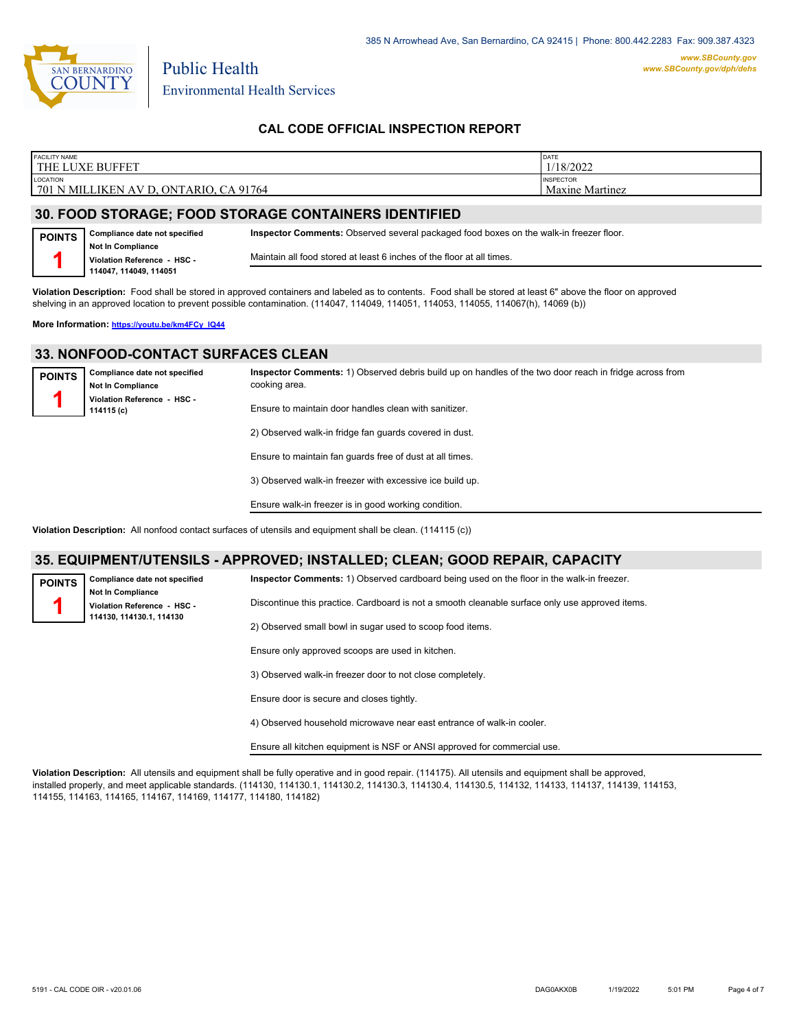

Public Health

### **CAL CODE OFFICIAL INSPECTION REPORT**

| <b>FACILITY NAME</b><br>. LUXE BUFFET<br><b>THE</b>        | DATE<br>1/18/2022                          |
|------------------------------------------------------------|--------------------------------------------|
| LOCATION<br>ONTARIO.<br>CA 91764<br>  701 N MILLIKEN AV D. | <b>INSPECTOR</b><br><b>Maxine Martinez</b> |

### **30. FOOD STORAGE; FOOD STORAGE CONTAINERS IDENTIFIED**

| <b>POINTS</b> | Complianc          |
|---------------|--------------------|
|               | Not In Com         |
|               | <b>Violation R</b> |
|               | 114047, 11         |

**c** date not specified **Not In Compliance Violation Reference - HSC - 114047, 114049, 114051 Inspector Comments:** Observed several packaged food boxes on the walk-in freezer floor. Maintain all food stored at least 6 inches of the floor at all times.

**Violation Description:** Food shall be stored in approved containers and labeled as to contents. Food shall be stored at least 6" above the floor on approved shelving in an approved location to prevent possible contamination. (114047, 114049, 114051, 114053, 114055, 114067(h), 14069 (b))

**More Information: [https://youtu.be/km4FCy\\_IQ44](https://youtu.be/km4FCy_IQ44)**

#### **33. NONFOOD-CONTACT SURFACES CLEAN**

| <b>POINTS</b> | Compliance date not specified<br><b>Not In Compliance</b> | Inspector Comments: 1) Observed debris build up on handles of the two door reach in fridge across from<br>cooking area. |
|---------------|-----------------------------------------------------------|-------------------------------------------------------------------------------------------------------------------------|
|               | Violation Reference - HSC -<br>114115 (c)                 | Ensure to maintain door handles clean with sanitizer.                                                                   |
|               |                                                           | 2) Observed walk-in fridge fan guards covered in dust.                                                                  |
|               |                                                           | Ensure to maintain fan guards free of dust at all times.                                                                |
|               |                                                           | 3) Observed walk-in freezer with excessive ice build up.                                                                |

**Violation Description:** All nonfood contact surfaces of utensils and equipment shall be clean. (114115 (c))

#### **35. EQUIPMENT/UTENSILS - APPROVED; INSTALLED; CLEAN; GOOD REPAIR, CAPACITY**

**POINTS 1**

**Compliance date not specified Not In Compliance Violation Reference - HSC - 114130, 114130.1, 114130**

**Inspector Comments:** 1) Observed cardboard being used on the floor in the walk-in freezer.

Discontinue this practice. Cardboard is not a smooth cleanable surface only use approved items.

2) Observed small bowl in sugar used to scoop food items.

Ensure only approved scoops are used in kitchen.

Ensure walk-in freezer is in good working condition.

3) Observed walk-in freezer door to not close completely.

Ensure door is secure and closes tightly.

4) Observed household microwave near east entrance of walk-in cooler.

Ensure all kitchen equipment is NSF or ANSI approved for commercial use.

**Violation Description:** All utensils and equipment shall be fully operative and in good repair. (114175). All utensils and equipment shall be approved, installed properly, and meet applicable standards. (114130, 114130.1, 114130.2, 114130.3, 114130.4, 114130.5, 114132, 114133, 114137, 114139, 114153, 114155, 114163, 114165, 114167, 114169, 114177, 114180, 114182)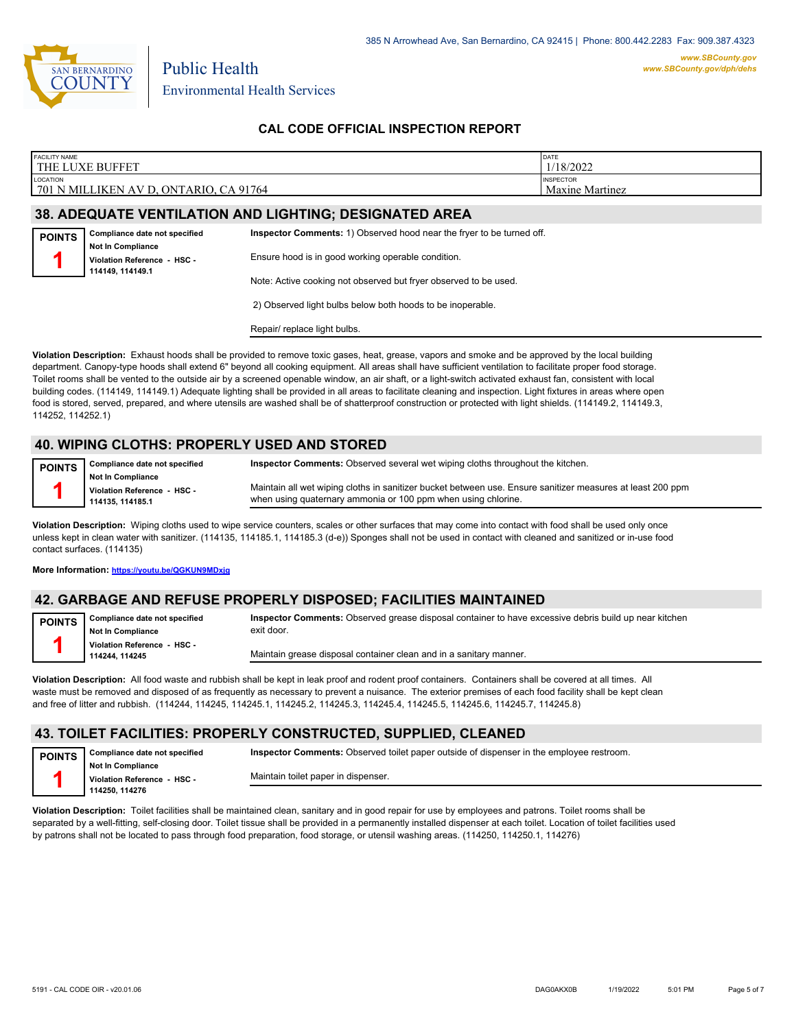

Public Health

### **CAL CODE OFFICIAL INSPECTION REPORT**

| <b>FACILITY NAME</b>                                          | THE LUXE BUFFET                                         | DATE<br>1/18/2022                                                     |                                            |  |  |
|---------------------------------------------------------------|---------------------------------------------------------|-----------------------------------------------------------------------|--------------------------------------------|--|--|
| LOCATION                                                      | 701 N MILLIKEN AV D, ONTARIO, CA 91764                  |                                                                       | <b>INSPECTOR</b><br><b>Maxine Martinez</b> |  |  |
| <b>38. ADEQUATE VENTILATION AND LIGHTING; DESIGNATED AREA</b> |                                                         |                                                                       |                                            |  |  |
| <b>POINTS</b>                                                 | Compliance date not specified                           | Inspector Comments: 1) Observed hood near the fryer to be turned off. |                                            |  |  |
|                                                               | <b>Not In Compliance</b><br>Violation Reference - HSC - | Ensure hood is in good working operable condition.                    |                                            |  |  |
|                                                               | 114149, 114149.1                                        | Note: Active cooking not observed but fryer observed to be used.      |                                            |  |  |
|                                                               |                                                         | 2) Observed light bulbs below both hoods to be inoperable.            |                                            |  |  |
|                                                               |                                                         | Repair/ replace light bulbs.                                          |                                            |  |  |

**Violation Description:** Exhaust hoods shall be provided to remove toxic gases, heat, grease, vapors and smoke and be approved by the local building department. Canopy-type hoods shall extend 6" beyond all cooking equipment. All areas shall have sufficient ventilation to facilitate proper food storage. Toilet rooms shall be vented to the outside air by a screened openable window, an air shaft, or a light-switch activated exhaust fan, consistent with local building codes. (114149, 114149.1) Adequate lighting shall be provided in all areas to facilitate cleaning and inspection. Light fixtures in areas where open food is stored, served, prepared, and where utensils are washed shall be of shatterproof construction or protected with light shields. (114149.2, 114149.3, 114252, 114252.1)

### **40. WIPING CLOTHS: PROPERLY USED AND STORED**

| POINTS |  |
|--------|--|
|        |  |
|        |  |
|        |  |

**Compliance date not specified Not In Compliance Violation Reference - HSC - 114135, 114185.1 Inspector Comments:** Observed several wet wiping cloths throughout the kitchen. Maintain all wet wiping cloths in sanitizer bucket between use. Ensure sanitizer measures at least 200 ppm when using quaternary ammonia or 100 ppm when using chlorine.

**Violation Description:** Wiping cloths used to wipe service counters, scales or other surfaces that may come into contact with food shall be used only once unless kept in clean water with sanitizer. (114135, 114185.1, 114185.3 (d-e)) Sponges shall not be used in contact with cleaned and sanitized or in-use food contact surfaces. (114135)

**More Information: <https://youtu.be/QGKUN9MDxjg>**

### **42. GARBAGE AND REFUSE PROPERLY DISPOSED; FACILITIES MAINTAINED**

**Compliance date not specified Not In Compliance Violation Reference - HSC - 114244, 114245 POINTS 1 Inspector Comments:** Observed grease disposal container to have excessive debris build up near kitchen exit door. Maintain grease disposal container clean and in a sanitary manner.

**Violation Description:** All food waste and rubbish shall be kept in leak proof and rodent proof containers. Containers shall be covered at all times. All waste must be removed and disposed of as frequently as necessary to prevent a nuisance. The exterior premises of each food facility shall be kept clean and free of litter and rubbish. (114244, 114245, 114245.1, 114245.2, 114245.3, 114245.4, 114245.5, 114245.6, 114245.7, 114245.8)

#### **43. TOILET FACILITIES: PROPERLY CONSTRUCTED, SUPPLIED, CLEANED**

| <b>POINTS</b> | Compliance date not specified                | <b>Inspector Comments:</b> Observed toilet paper outside of dispenser in the employee restroom. |  |
|---------------|----------------------------------------------|-------------------------------------------------------------------------------------------------|--|
|               | <b>Not In Compliance</b>                     | Maintain toilet paper in dispenser.                                                             |  |
|               | Violation Reference - HSC -<br>114250.114276 |                                                                                                 |  |
|               |                                              |                                                                                                 |  |

**Violation Description:** Toilet facilities shall be maintained clean, sanitary and in good repair for use by employees and patrons. Toilet rooms shall be separated by a well-fitting, self-closing door. Toilet tissue shall be provided in a permanently installed dispenser at each toilet. Location of toilet facilities used by patrons shall not be located to pass through food preparation, food storage, or utensil washing areas. (114250, 114250.1, 114276)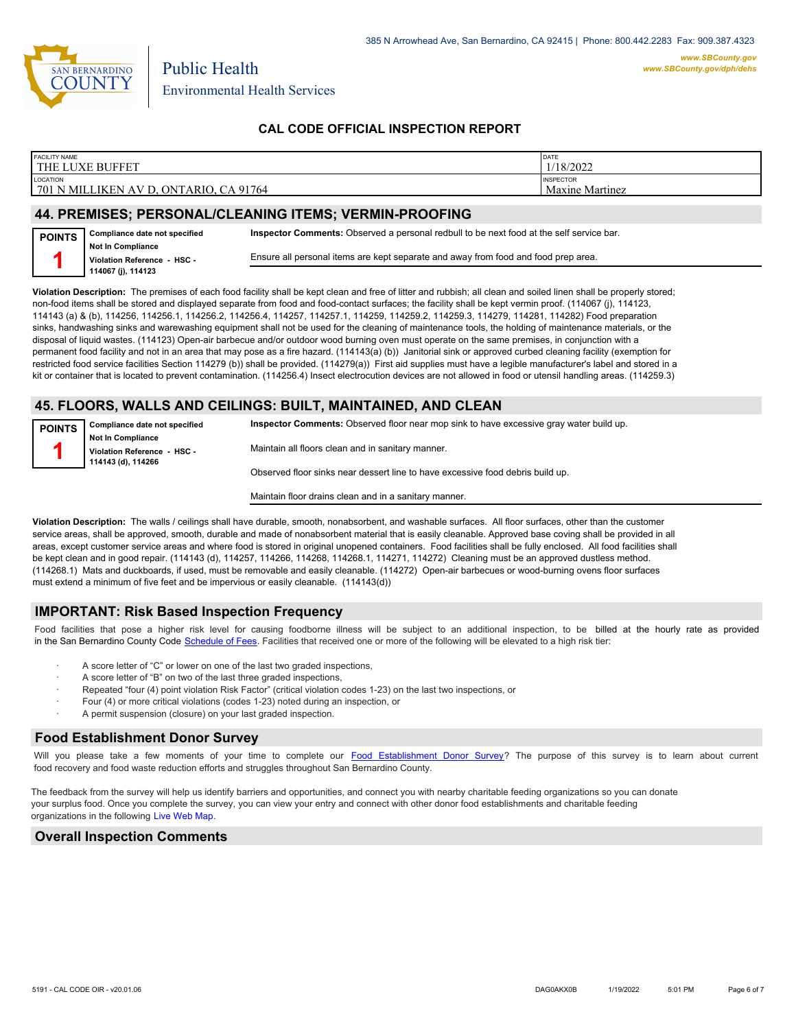

### **CAL CODE OFFICIAL INSPECTION REPORT**

| <b>FACILITY NAME</b><br><b>BUFFET</b><br>$'$ JXE $\overline{L}$<br>THE                                                  | DATE<br>/18/2022                           |
|-------------------------------------------------------------------------------------------------------------------------|--------------------------------------------|
| <b>LOCATION</b><br>.91764<br>701<br>ONTARIO.<br><b>JIKEN</b><br>N MILL<br>$\ddot{\phantom{1}}$<br>$\Lambda$<br>◡<br>∍ \ | <b>INSPECTOR</b><br><b>Maxine Martinez</b> |
|                                                                                                                         |                                            |

#### **44. PREMISES; PERSONAL/CLEANING ITEMS; VERMIN-PROOFING**

| <b>POINTS</b> | Compliance date not specified                           | Inspector Comments: Observed a personal redbull to be next food at the self service bar. |
|---------------|---------------------------------------------------------|------------------------------------------------------------------------------------------|
|               | <b>Not In Compliance</b><br>Violation Reference - HSC - | Ensure all personal items are kept separate and away from food and food prep area.       |
|               | 114067 (j), 114123                                      |                                                                                          |

**Violation Description:** The premises of each food facility shall be kept clean and free of litter and rubbish; all clean and soiled linen shall be properly stored; non-food items shall be stored and displayed separate from food and food-contact surfaces; the facility shall be kept vermin proof. (114067 (j), 114123, 114143 (a) & (b), 114256, 114256.1, 114256.2, 114256.4, 114257, 114257.1, 114259, 114259.2, 114259.3, 114279, 114281, 114282) Food preparation sinks, handwashing sinks and warewashing equipment shall not be used for the cleaning of maintenance tools, the holding of maintenance materials, or the disposal of liquid wastes. (114123) Open-air barbecue and/or outdoor wood burning oven must operate on the same premises, in conjunction with a permanent food facility and not in an area that may pose as a fire hazard. (114143(a) (b)) Janitorial sink or approved curbed cleaning facility (exemption for restricted food service facilities Section 114279 (b)) shall be provided. (114279(a)) First aid supplies must have a legible manufacturer's label and stored in a kit or container that is located to prevent contamination. (114256.4) Insect electrocution devices are not allowed in food or utensil handling areas. (114259.3)

#### **45. FLOORS, WALLS AND CEILINGS: BUILT, MAINTAINED, AND CLEAN**

| <i>FOINTS</i> | Compliance date not specified | Inspector Comments: Observed floor near mop sink to have excessive gray water build up. |  |
|---------------|-------------------------------|-----------------------------------------------------------------------------------------|--|
|               | <b>Not In Compliance</b>      |                                                                                         |  |
|               | Violation Reference - HSC -   | Maintain all floors clean and in sanitary manner.                                       |  |
|               | 114143 (d), 114266            |                                                                                         |  |
|               |                               | Observed floor sinks near dessert line to have excessive food debris build up.          |  |

Maintain floor drains clean and in a sanitary manner.

**Violation Description:** The walls / ceilings shall have durable, smooth, nonabsorbent, and washable surfaces. All floor surfaces, other than the customer service areas, shall be approved, smooth, durable and made of nonabsorbent material that is easily cleanable. Approved base coving shall be provided in all areas, except customer service areas and where food is stored in original unopened containers. Food facilities shall be fully enclosed. All food facilities shall be kept clean and in good repair. (114143 (d), 114257, 114266, 114268, 114268.1, 114271, 114272) Cleaning must be an approved dustless method. (114268.1) Mats and duckboards, if used, must be removable and easily cleanable. (114272) Open-air barbecues or wood-burning ovens floor surfaces must extend a minimum of five feet and be impervious or easily cleanable. (114143(d))

#### **IMPORTANT: Risk Based Inspection Frequency**

Food facilities that pose a higher risk level for causing foodborne illness will be subject to an additional inspection, to be billed at the hourly rate as provided in the San Bernardino Count[y Code Schedule of Fees. Facilitie](https://codelibrary.amlegal.com/codes/sanbernardino/latest/sanberncty_ca/0-0-0-122474#JD_16.0213B)s that received one or more of the following will be elevated to a high risk tier:

- A score letter of "C" or lower on one of the last two graded inspections,
- A score letter of "B" on two of the last three graded inspections,
- Repeated "four (4) point violation Risk Factor" (critical violation codes 1-23) on the last two inspections, or
- · Four (4) or more critical violations (codes 1-23) noted during an inspection, or
- A permit suspension (closure) on your last graded inspection.

#### **Food Establishment Donor Survey**

Will you please take a few moments of your time to co[mplete our Food Establishment Donor Survey?](https://survey123.arcgis.com/share/626bb0fb21674c82832b0c0d557c5e80?field:faid=FA0027663&field:facility_name=THE%20LUXE%20BUFFET¢er=34.07,-117.56&field:phone=9099486886) The purpose of this survey is to learn about current food recovery and food waste reduction efforts and struggles throughout San Bernardino County.

The feedback from the survey will help us identify barriers and opportunities, and connect you with nearby charitable feeding organizations so you can donate your surplus food. Once you complete the survey, you can view your entry and connect with other donor food establishments and charitable feeding organizations in the fol[lowing Live Web Map.](https://arcg.is/WvjGb)

#### **Overall Inspection Comments**